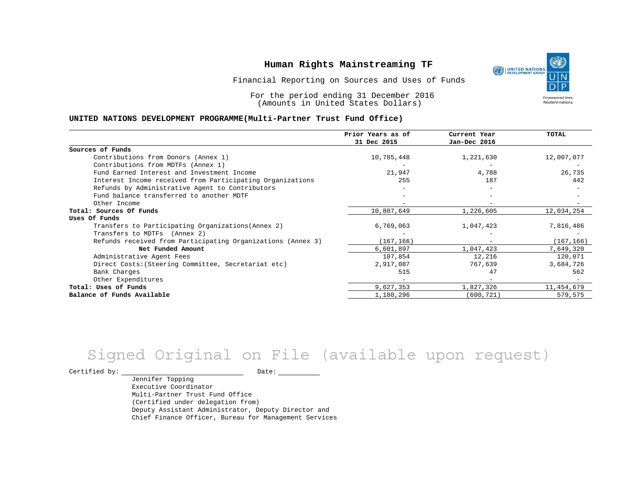

Financial Reporting on Sources and Uses of Funds

For the period ending 31 December 2016 (Amounts in United States Dollars)

#### **UNITED NATIONS DEVELOPMENT PROGRAMME(Multi-Partner Trust Fund Office)**

|                                                             | Prior Years as of<br>31 Dec 2015 | Current Year<br>Jan-Dec 2016 | TOTAL      |
|-------------------------------------------------------------|----------------------------------|------------------------------|------------|
|                                                             |                                  |                              |            |
| Sources of Funds                                            |                                  |                              |            |
| Contributions from Donors (Annex 1)                         | 10,785,448                       | 1,221,630                    | 12,007,077 |
| Contributions from MDTFs (Annex 1)                          |                                  |                              |            |
| Fund Earned Interest and Investment Income                  | 21,947                           | 4,788                        | 26,735     |
| Interest Income received from Participating Organizations   | 255                              | 187                          | 442        |
| Refunds by Administrative Agent to Contributors             |                                  |                              |            |
| Fund balance transferred to another MDTF                    |                                  |                              |            |
| Other Income                                                |                                  |                              |            |
| Total: Sources Of Funds                                     | 10,807,649                       | 1,226,605                    | 12,034,254 |
| Uses Of Funds                                               |                                  |                              |            |
| Transfers to Participating Organizations (Annex 2)          | 6,769,063                        | 1,047,423                    | 7,816,486  |
| Transfers to MDTFs (Annex 2)                                |                                  |                              |            |
| Refunds received from Participating Organizations (Annex 3) | (167, 166)                       | $\qquad \qquad -$            | (167, 166) |
| Net Funded Amount                                           | 6,601,897                        | 1,047,423                    | 7,649,320  |
| Administrative Agent Fees                                   | 107,854                          | 12,216                       | 120,071    |
| Direct Costs: (Steering Committee, Secretariat etc)         | 2,917,087                        | 767,639                      | 3,684,726  |
| Bank Charges                                                | 515                              | 47                           | 562        |
| Other Expenditures                                          |                                  |                              |            |
| Total: Uses of Funds                                        | 9,627,353                        | 1,827,326                    | 11,454,679 |
| Balance of Funds Available                                  | 1,180,296                        | (600, 721)                   | 579,575    |

# Signed Original on File (available upon request)

Certified by: Date:

Jennifer Topping Executive Coordinator Multi-Partner Trust Fund Office (Certified under delegation from) Deputy Assistant Administrator, Deputy Director and Chief Finance Officer, Bureau for Management Services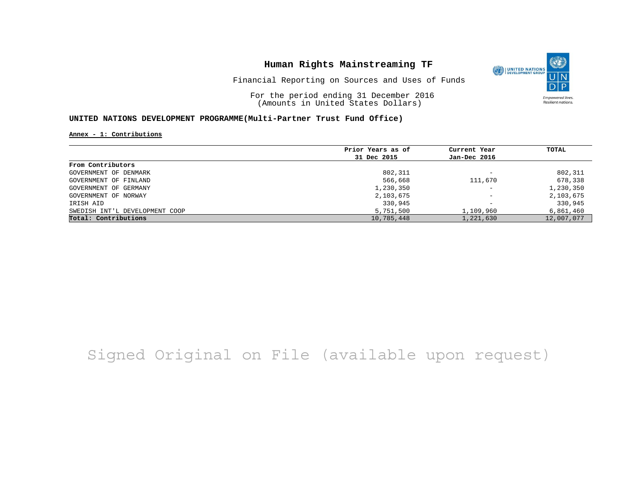

Financial Reporting on Sources and Uses of Funds

For the period ending 31 December 2016 (Amounts in United States Dollars)

#### **UNITED NATIONS DEVELOPMENT PROGRAMME(Multi-Partner Trust Fund Office)**

**Annex - 1: Contributions**

|                                | Prior Years as of | Current Year             | TOTAL      |
|--------------------------------|-------------------|--------------------------|------------|
|                                | 31 Dec 2015       | Jan-Dec 2016             |            |
| From Contributors              |                   |                          |            |
| GOVERNMENT OF DENMARK          | 802,311           | -                        | 802,311    |
| GOVERNMENT OF FINLAND          | 566,668           | 111,670                  | 678,338    |
| GOVERNMENT OF GERMANY          | 1,230,350         | $\overline{\phantom{0}}$ | 1,230,350  |
| GOVERNMENT OF NORWAY           | 2,103,675         | $\qquad \qquad -$        | 2,103,675  |
| IRISH AID                      | 330,945           | $\qquad \qquad -$        | 330,945    |
| SWEDISH INT'L DEVELOPMENT COOP | 5,751,500         | 1,109,960                | 6,861,460  |
| Total: Contributions           | 10,785,448        | 1,221,630                | 12,007,077 |

## Signed Original on File (available upon request)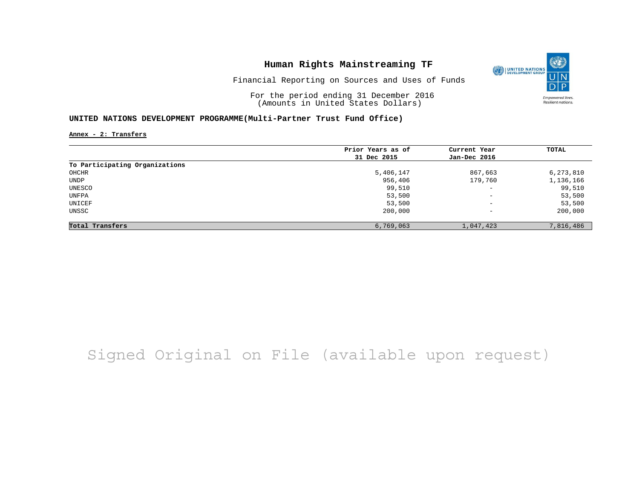

Financial Reporting on Sources and Uses of Funds

For the period ending 31 December 2016 (Amounts in United States Dollars)

#### **UNITED NATIONS DEVELOPMENT PROGRAMME(Multi-Partner Trust Fund Office)**

**Annex - 2: Transfers**

|                                | Prior Years as of | Current Year             | TOTAL     |
|--------------------------------|-------------------|--------------------------|-----------|
|                                | 31 Dec 2015       | Jan-Dec 2016             |           |
| To Participating Organizations |                   |                          |           |
| OHCHR                          | 5,406,147         | 867,663                  | 6,273,810 |
| UNDP                           | 956,406           | 179,760                  | 1,136,166 |
| UNESCO                         | 99,510            | $\overline{\phantom{a}}$ | 99,510    |
| UNFPA                          | 53,500            | $\qquad \qquad -$        | 53,500    |
| UNICEF                         | 53,500            | $\overline{\phantom{m}}$ | 53,500    |
| UNSSC                          | 200,000           | $\overline{\phantom{m}}$ | 200,000   |
| Total Transfers                | 6,769,063         | 1,047,423                | 7,816,486 |

## Signed Original on File (available upon request)